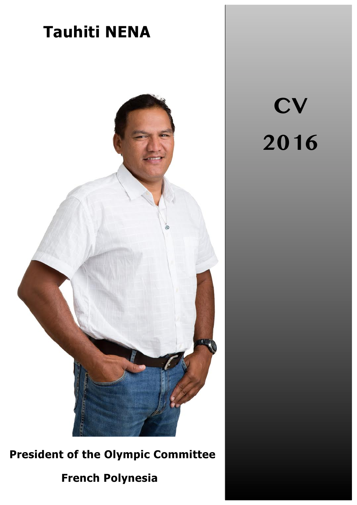

**President of the Olympic Committee** 

# **French Polynesia**

**CV 2016**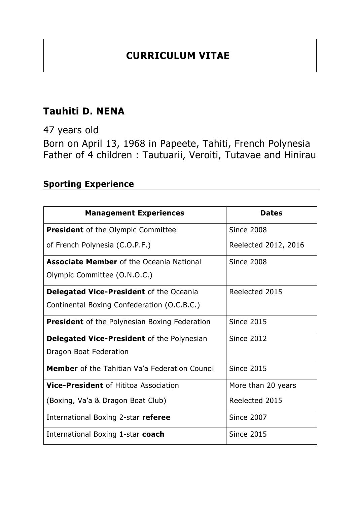## **CURRICULUM VITAE**

## **Tauhiti D. NENA**

47 years old

Born on April 13, 1968 in Papeete, Tahiti, French Polynesia Father of 4 children : Tautuarii, Veroiti, Tutavae and Hinirau

### **Sporting Experience**

| <b>Management Experiences</b>                         | <b>Dates</b>         |
|-------------------------------------------------------|----------------------|
| <b>President</b> of the Olympic Committee             | <b>Since 2008</b>    |
| of French Polynesia (C.O.P.F.)                        | Reelected 2012, 2016 |
| <b>Associate Member</b> of the Oceania National       | <b>Since 2008</b>    |
| Olympic Committee (O.N.O.C.)                          |                      |
| <b>Delegated Vice-President of the Oceania</b>        | Reelected 2015       |
| Continental Boxing Confederation (O.C.B.C.)           |                      |
| <b>President</b> of the Polynesian Boxing Federation  | <b>Since 2015</b>    |
| <b>Delegated Vice-President</b> of the Polynesian     | <b>Since 2012</b>    |
| Dragon Boat Federation                                |                      |
| <b>Member</b> of the Tahitian Va'a Federation Council | <b>Since 2015</b>    |
| <b>Vice-President of Hititoa Association</b>          | More than 20 years   |
| (Boxing, Va'a & Dragon Boat Club)                     | Reelected 2015       |
| International Boxing 2-star referee                   | <b>Since 2007</b>    |
| International Boxing 1-star coach                     | <b>Since 2015</b>    |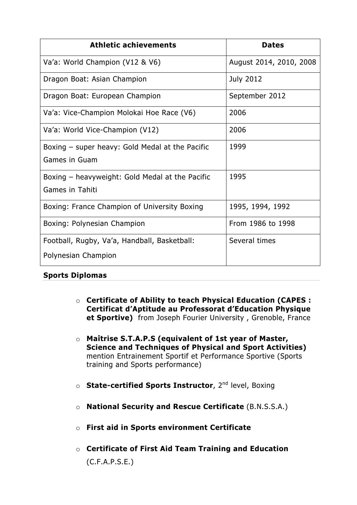| <b>Athletic achievements</b>                    | <b>Dates</b>            |
|-------------------------------------------------|-------------------------|
| Va'a: World Champion (V12 & V6)                 | August 2014, 2010, 2008 |
| Dragon Boat: Asian Champion                     | <b>July 2012</b>        |
| Dragon Boat: European Champion                  | September 2012          |
| Va'a: Vice-Champion Molokai Hoe Race (V6)       | 2006                    |
| Va'a: World Vice-Champion (V12)                 | 2006                    |
| Boxing – super heavy: Gold Medal at the Pacific | 1999                    |
| Games in Guam                                   |                         |
| Boxing – heavyweight: Gold Medal at the Pacific | 1995                    |
| <b>Games in Tahiti</b>                          |                         |
| Boxing: France Champion of University Boxing    | 1995, 1994, 1992        |
| Boxing: Polynesian Champion                     | From 1986 to 1998       |
| Football, Rugby, Va'a, Handball, Basketball:    | Several times           |
| Polynesian Champion                             |                         |

#### **Sports Diplomas**

- o **Certificate of Ability to teach Physical Education (CAPES : Certificat d'Aptitude au Professorat d'Education Physique et Sportive)** from Joseph Fourier University , Grenoble, France
- o **Maîtrise S.T.A.P.S (equivalent of 1st year of Master, Science and Techniques of Physical and Sport Activities)** mention Entrainement Sportif et Performance Sportive (Sports training and Sports performance)
- o **State-certified Sports Instructor**, 2nd level, Boxing
- o **National Security and Rescue Certificate** (B.N.S.S.A.)
- o **First aid in Sports environment Certificate**
- o **Certificate of First Aid Team Training and Education**  (C.F.A.P.S.E.)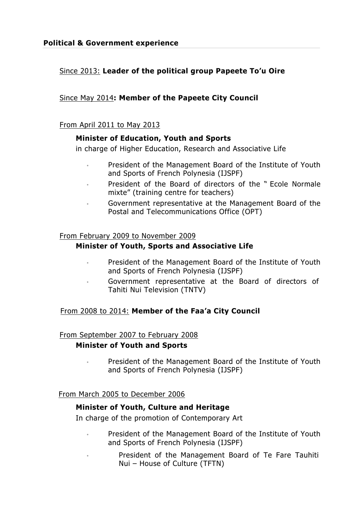#### Since 2013: **Leader of the political group Papeete To'u Oire**

#### Since May 2014**: Member of the Papeete City Council**

#### From April 2011 to May 2013

#### **Minister of Education, Youth and Sports**

in charge of Higher Education, Research and Associative Life

- President of the Management Board of the Institute of Youth and Sports of French Polynesia (IJSPF)
- President of the Board of directors of the " Ecole Normale mixte" (training centre for teachers)
- Government representative at the Management Board of the Postal and Telecommunications Office (OPT)

#### From February 2009 to November 2009

#### **Minister of Youth, Sports and Associative Life**

- President of the Management Board of the Institute of Youth and Sports of French Polynesia (IJSPF)
- Government representative at the Board of directors of Tahiti Nui Television (TNTV)

#### From 2008 to 2014: **Member of the Faa'a City Council**

#### From September 2007 to February 2008

#### **Minister of Youth and Sports**

• President of the Management Board of the Institute of Youth and Sports of French Polynesia (IJSPF)

#### From March 2005 to December 2006

#### **Minister of Youth, Culture and Heritage**

In charge of the promotion of Contemporary Art

- President of the Management Board of the Institute of Youth and Sports of French Polynesia (IJSPF)
	- President of the Management Board of Te Fare Tauhiti Nui – House of Culture (TFTN)